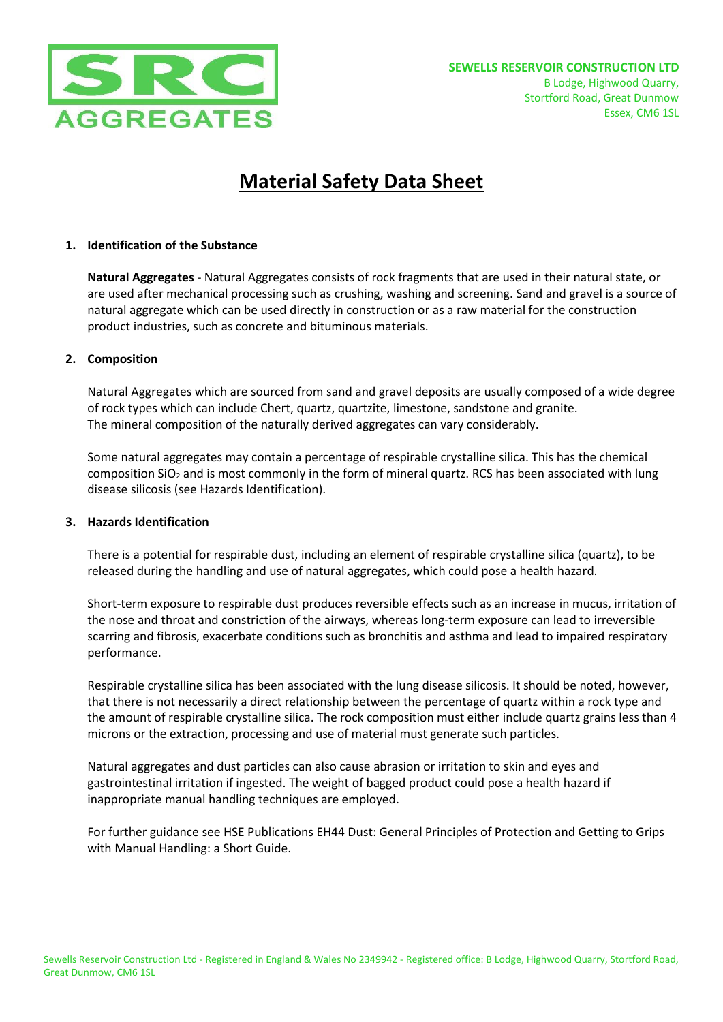

# **Material Safety Data Sheet**

# **1. Identification of the Substance**

**Natural Aggregates** - Natural Aggregates consists of rock fragments that are used in their natural state, or are used after mechanical processing such as crushing, washing and screening. Sand and gravel is a source of natural aggregate which can be used directly in construction or as a raw material for the construction product industries, such as concrete and bituminous materials.

# **2. Composition**

Natural Aggregates which are sourced from sand and gravel deposits are usually composed of a wide degree of rock types which can include Chert, quartz, quartzite, limestone, sandstone and granite. The mineral composition of the naturally derived aggregates can vary considerably.

Some natural aggregates may contain a percentage of respirable crystalline silica. This has the chemical composition SiO<sub>2</sub> and is most commonly in the form of mineral quartz. RCS has been associated with lung disease silicosis (see Hazards Identification).

# **3. Hazards Identification**

There is a potential for respirable dust, including an element of respirable crystalline silica (quartz), to be released during the handling and use of natural aggregates, which could pose a health hazard.

Short-term exposure to respirable dust produces reversible effects such as an increase in mucus, irritation of the nose and throat and constriction of the airways, whereas long-term exposure can lead to irreversible scarring and fibrosis, exacerbate conditions such as bronchitis and asthma and lead to impaired respiratory performance.

Respirable crystalline silica has been associated with the lung disease silicosis. It should be noted, however, that there is not necessarily a direct relationship between the percentage of quartz within a rock type and the amount of respirable crystalline silica. The rock composition must either include quartz grains less than 4 microns or the extraction, processing and use of material must generate such particles.

Natural aggregates and dust particles can also cause abrasion or irritation to skin and eyes and gastrointestinal irritation if ingested. The weight of bagged product could pose a health hazard if inappropriate manual handling techniques are employed.

For further guidance see HSE Publications EH44 Dust: General Principles of Protection and Getting to Grips with Manual Handling: a Short Guide.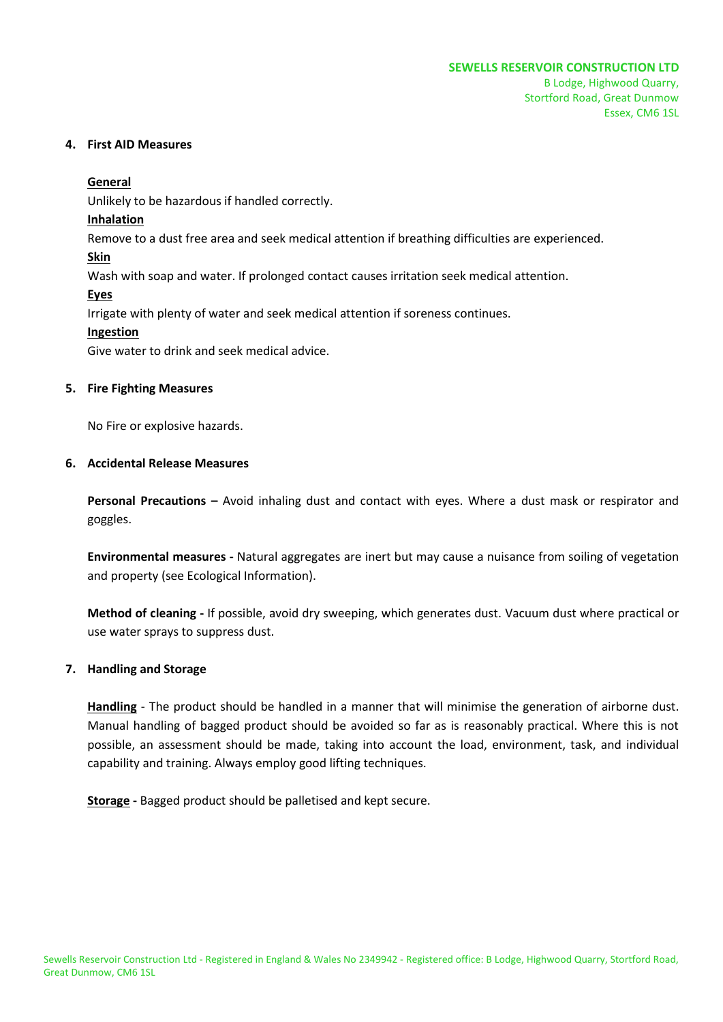#### **4. First AID Measures**

## **General**

Unlikely to be hazardous if handled correctly.

## **Inhalation**

Remove to a dust free area and seek medical attention if breathing difficulties are experienced.

# **Skin**

Wash with soap and water. If prolonged contact causes irritation seek medical attention.

# **Eyes**

Irrigate with plenty of water and seek medical attention if soreness continues.

# **Ingestion**

Give water to drink and seek medical advice.

## **5. Fire Fighting Measures**

No Fire or explosive hazards.

# **6. Accidental Release Measures**

**Personal Precautions –** Avoid inhaling dust and contact with eyes. Where a dust mask or respirator and goggles.

**Environmental measures -** Natural aggregates are inert but may cause a nuisance from soiling of vegetation and property (see Ecological Information).

**Method of cleaning -** If possible, avoid dry sweeping, which generates dust. Vacuum dust where practical or use water sprays to suppress dust.

# **7. Handling and Storage**

**Handling** - The product should be handled in a manner that will minimise the generation of airborne dust. Manual handling of bagged product should be avoided so far as is reasonably practical. Where this is not possible, an assessment should be made, taking into account the load, environment, task, and individual capability and training. Always employ good lifting techniques.

**Storage -** Bagged product should be palletised and kept secure.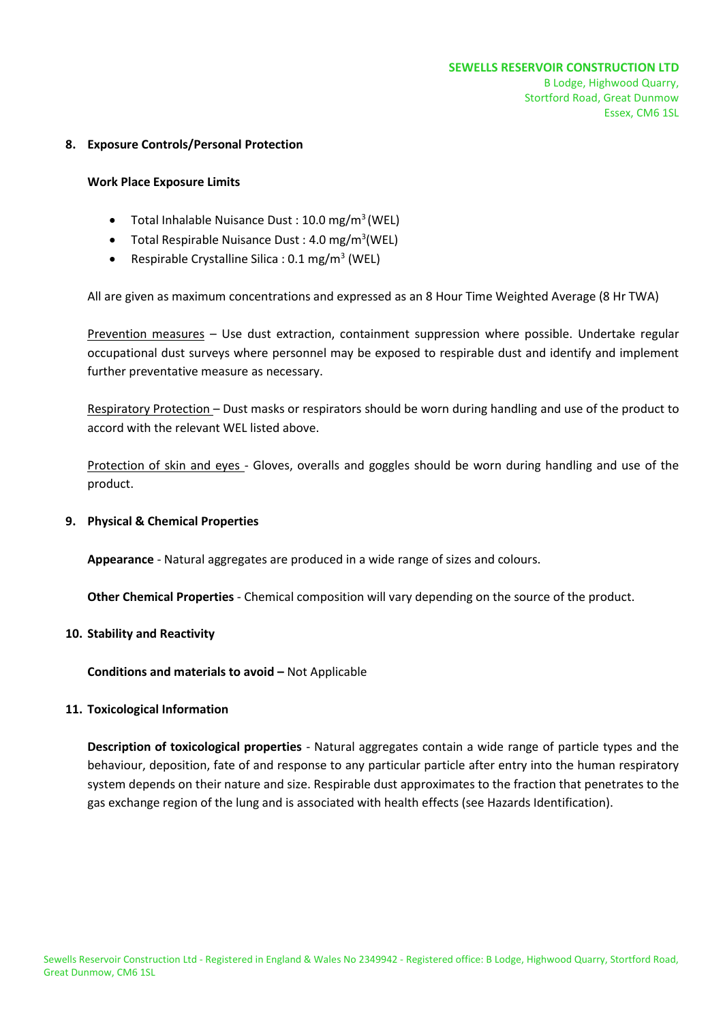## **8. Exposure Controls/Personal Protection**

#### **Work Place Exposure Limits**

- $\bullet$  Total Inhalable Nuisance Dust : 10.0 mg/m<sup>3</sup> (WEL)
- Total Respirable Nuisance Dust: 4.0 mg/m<sup>3</sup>(WEL)
- Respirable Crystalline Silica :  $0.1 \text{ mg/m}^3$  (WEL)

All are given as maximum concentrations and expressed as an 8 Hour Time Weighted Average (8 Hr TWA)

Prevention measures – Use dust extraction, containment suppression where possible. Undertake regular occupational dust surveys where personnel may be exposed to respirable dust and identify and implement further preventative measure as necessary.

Respiratory Protection – Dust masks or respirators should be worn during handling and use of the product to accord with the relevant WEL listed above.

Protection of skin and eyes - Gloves, overalls and goggles should be worn during handling and use of the product.

#### **9. Physical & Chemical Properties**

**Appearance** - Natural aggregates are produced in a wide range of sizes and colours.

**Other Chemical Properties** - Chemical composition will vary depending on the source of the product.

#### **10. Stability and Reactivity**

**Conditions and materials to avoid – Not Applicable** 

# **11. Toxicological Information**

**Description of toxicological properties** - Natural aggregates contain a wide range of particle types and the behaviour, deposition, fate of and response to any particular particle after entry into the human respiratory system depends on their nature and size. Respirable dust approximates to the fraction that penetrates to the gas exchange region of the lung and is associated with health effects (see Hazards Identification).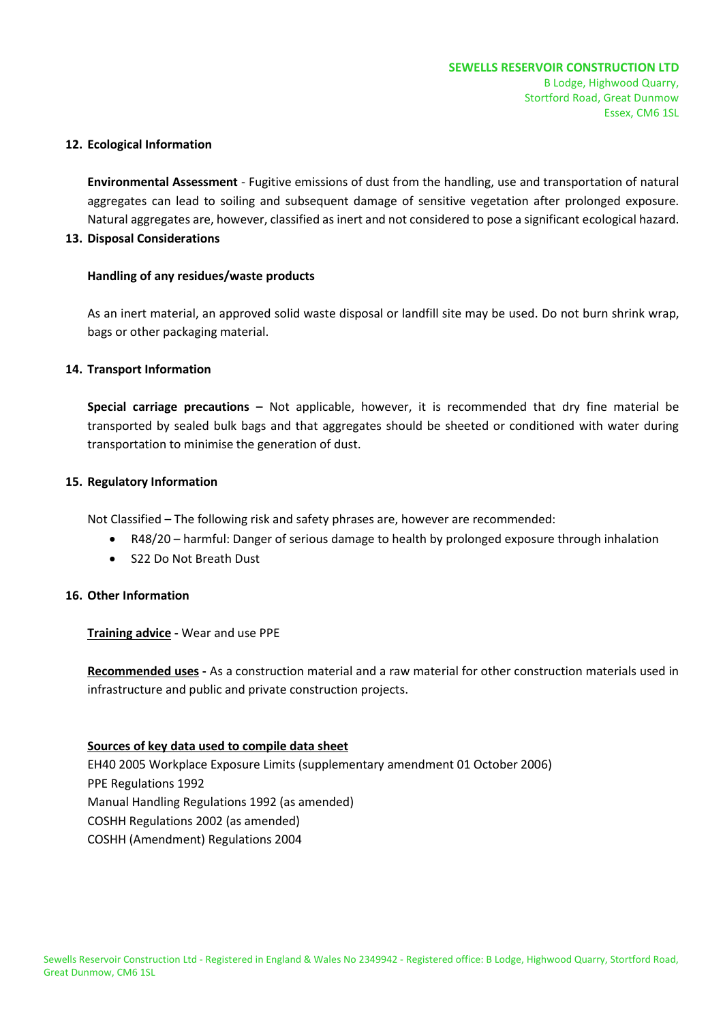## **12. Ecological Information**

**Environmental Assessment** - Fugitive emissions of dust from the handling, use and transportation of natural aggregates can lead to soiling and subsequent damage of sensitive vegetation after prolonged exposure. Natural aggregates are, however, classified as inert and not considered to pose a significant ecological hazard.

## **13. Disposal Considerations**

# **Handling of any residues/waste products**

As an inert material, an approved solid waste disposal or landfill site may be used. Do not burn shrink wrap, bags or other packaging material.

# **14. Transport Information**

**Special carriage precautions –** Not applicable, however, it is recommended that dry fine material be transported by sealed bulk bags and that aggregates should be sheeted or conditioned with water during transportation to minimise the generation of dust.

## **15. Regulatory Information**

Not Classified – The following risk and safety phrases are, however are recommended:

- R48/20 harmful: Danger of serious damage to health by prolonged exposure through inhalation
- S22 Do Not Breath Dust

# **16. Other Information**

**Training advice -** Wear and use PPE

**Recommended uses -** As a construction material and a raw material for other construction materials used in infrastructure and public and private construction projects.

# **Sources of key data used to compile data sheet**

EH40 2005 Workplace Exposure Limits (supplementary amendment 01 October 2006) PPE Regulations 1992 Manual Handling Regulations 1992 (as amended) COSHH Regulations 2002 (as amended) COSHH (Amendment) Regulations 2004